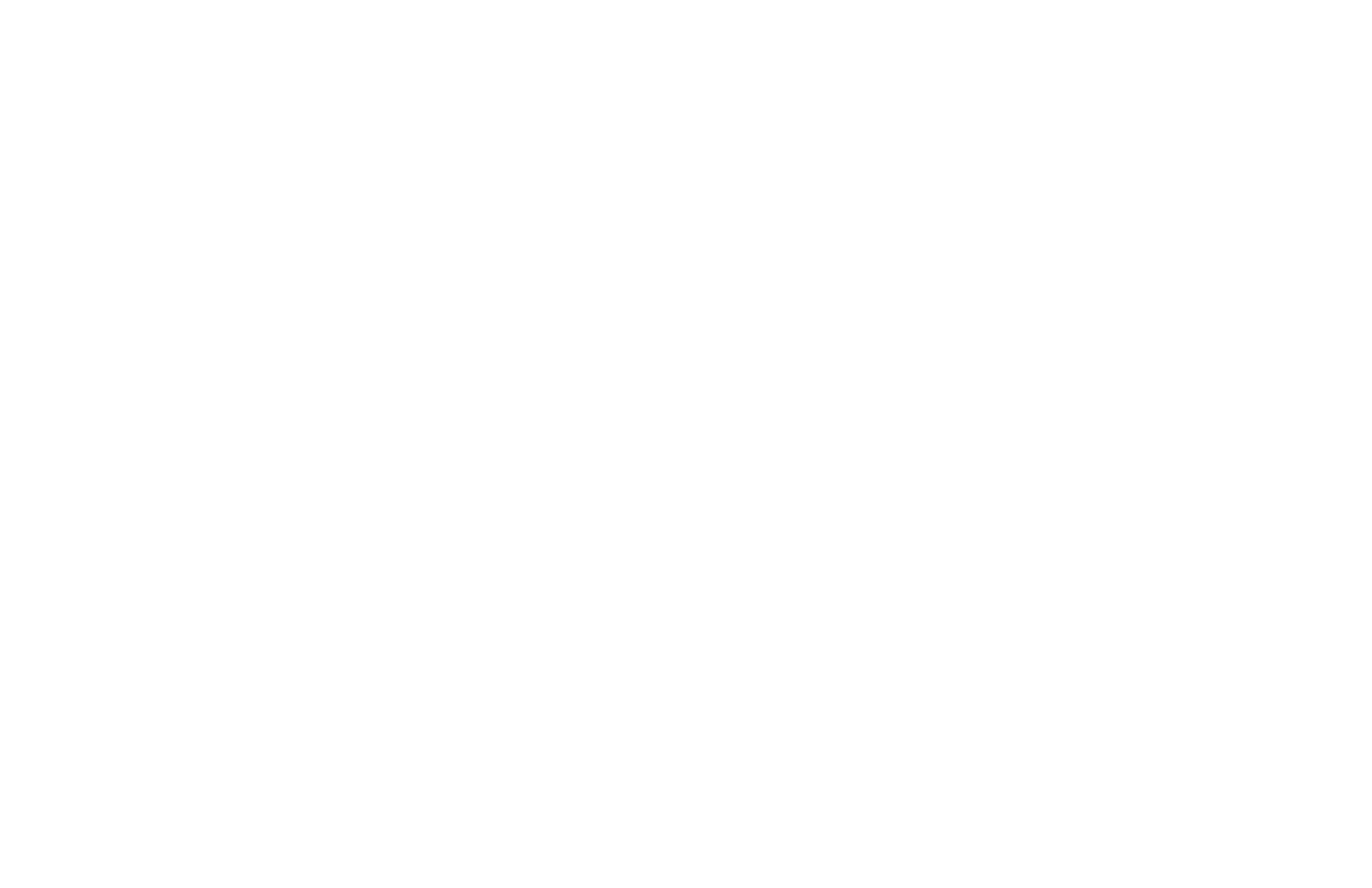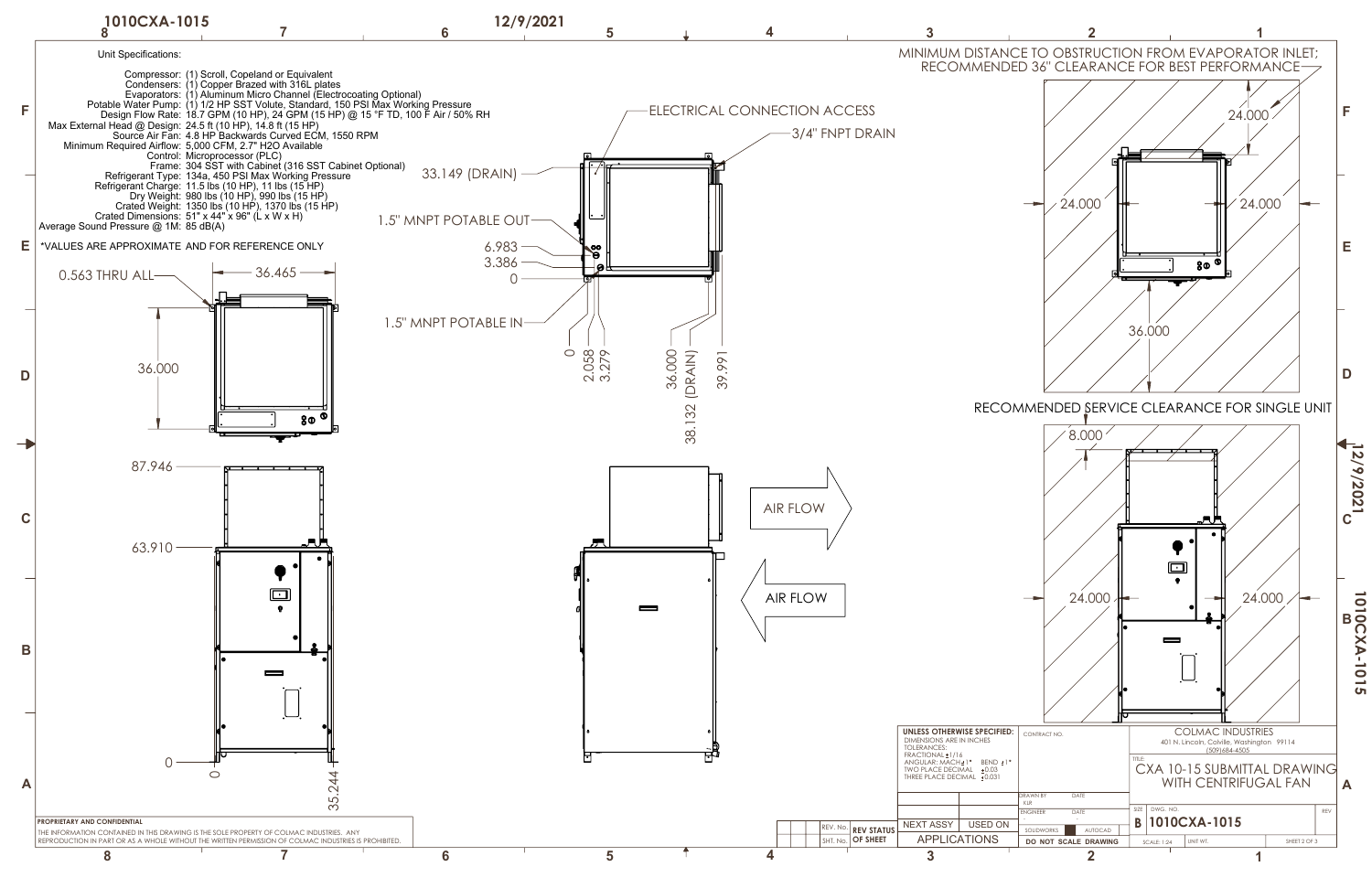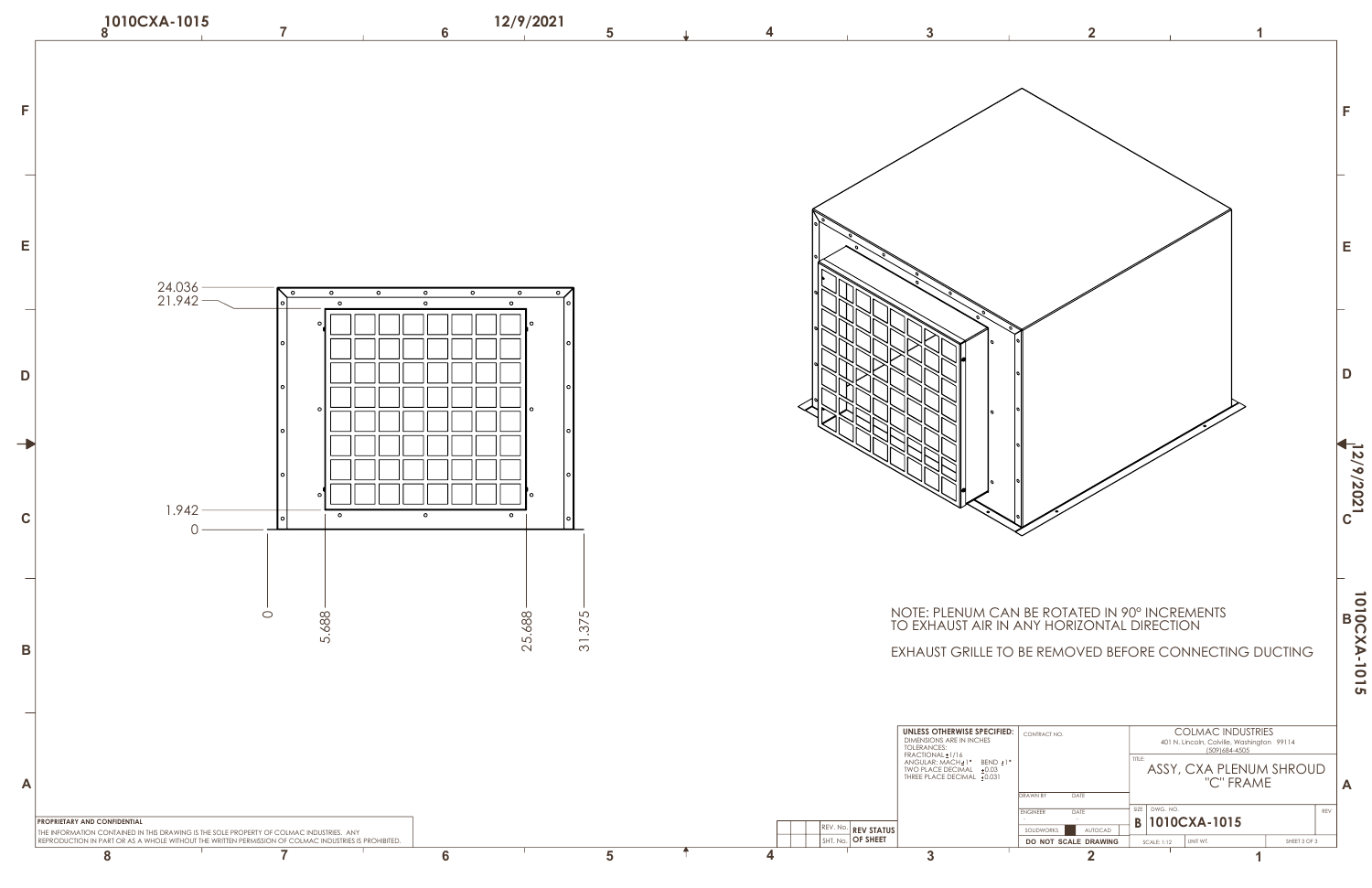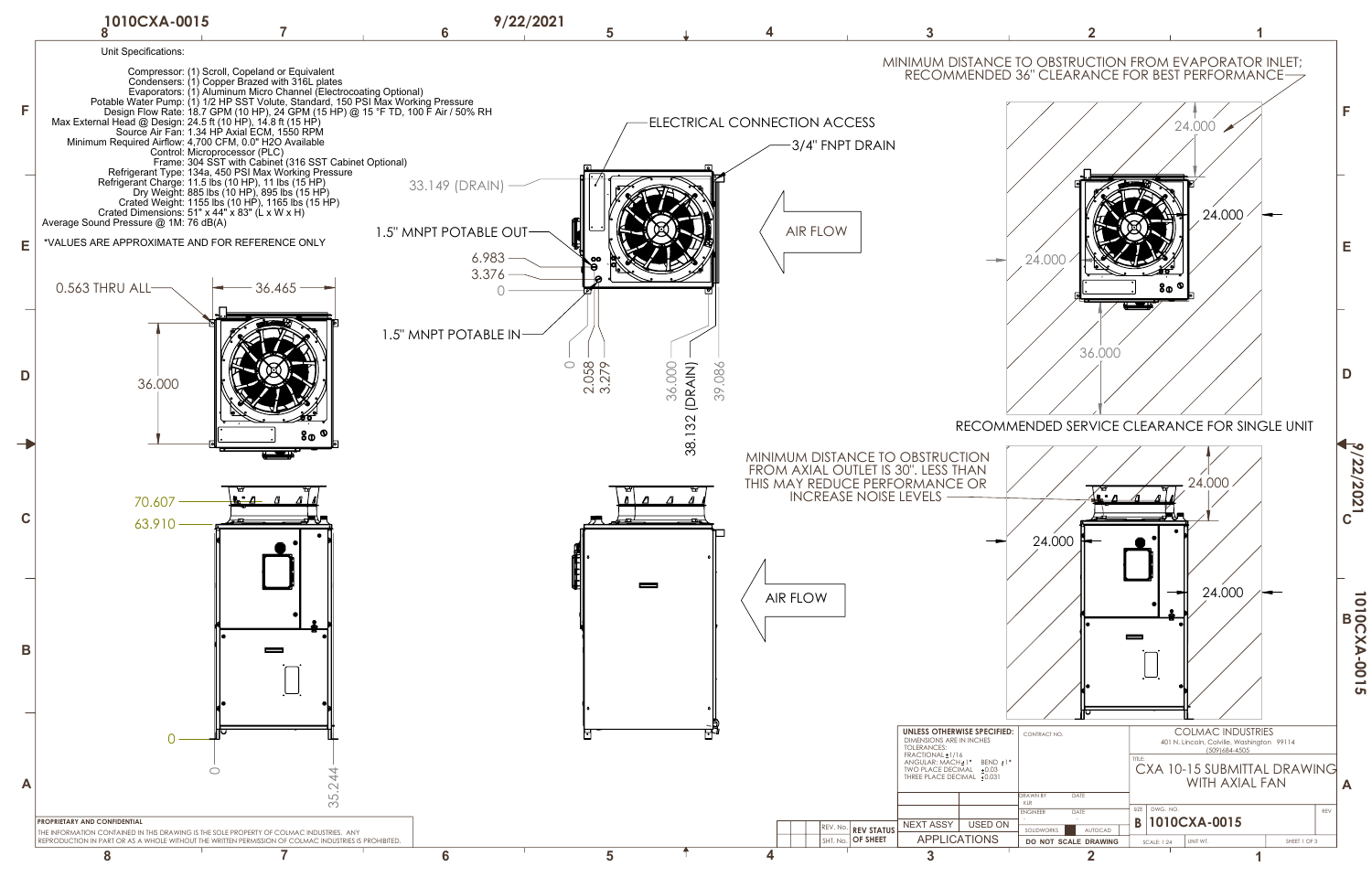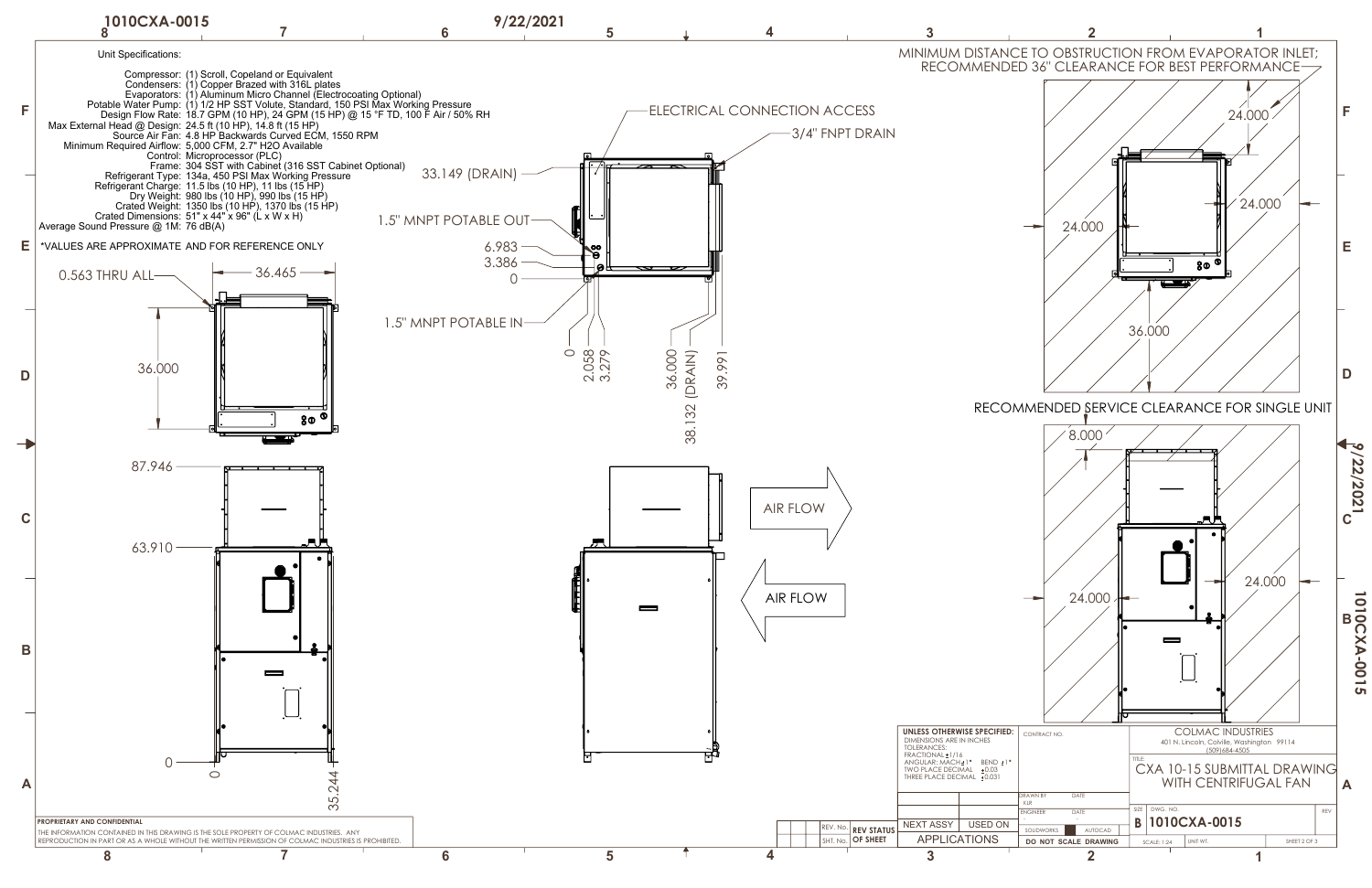